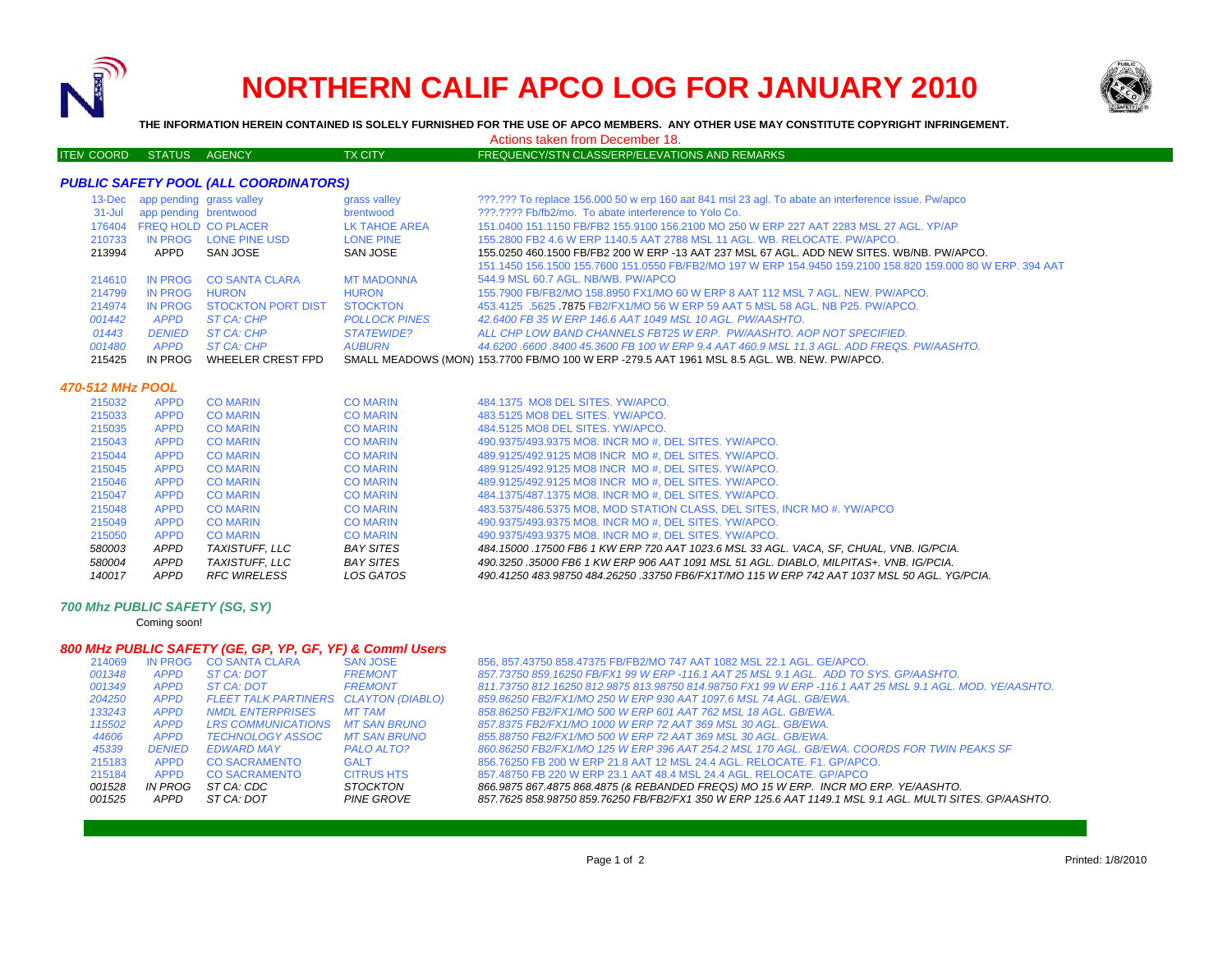

# **NORTHERN CALIF APCO LOG FOR JANUARY 2010**



**THE INFORMATION HEREIN CONTAINED IS SOLELY FURNISHED FOR THE USE OF APCO MEMBERS. ANY OTHER USE MAY CONSTITUTE COPYRIGHT INFRINGEMENT.**

Actions taken from December 18.

## ITEM COORD STATUS AGENCY M COORD STATUS AGENCY TX CITY TREQUENCY/STN CLASS/ERP/ELEVATIONS AND REMARKS

| <b>PUBLIC SAFETY POOL (ALL COORDINATORS)</b> |                                 |                           |                      |                                                                                                             |  |  |  |  |
|----------------------------------------------|---------------------------------|---------------------------|----------------------|-------------------------------------------------------------------------------------------------------------|--|--|--|--|
|                                              | 13-Dec app pending grass valley |                           | grass valley         | ???.??? To replace 156.000 50 w erp 160 aat 841 msl 23 agl. To abate an interference issue. Pw/apco         |  |  |  |  |
| $31 -$ Jul                                   | app pending brentwood           |                           | brentwood            | 222.2222 Fb/fb2/mo. To abate interference to Yolo Co.                                                       |  |  |  |  |
| 176404                                       | <b>FREQ HOLD CO PLACER</b>      |                           | LK TAHOE AREA        | 151,0400 151,1150 FB/FB2 155,9100 156,2100 MO 250 W ERP 227 AAT 2283 MSL 27 AGL, YP/AP                      |  |  |  |  |
| 210733                                       | IN PROG                         | LONE PINE USD             | <b>LONE PINE</b>     | 155,2800 FB2 4.6 W ERP 1140.5 AAT 2788 MSL 11 AGL, WB, RELOCATE, PW/APCO,                                   |  |  |  |  |
| 213994                                       | APPD                            | SAN JOSE                  | SAN JOSE             | 155,0250 460,1500 FB/FB2 200 W ERP -13 AAT 237 MSL 67 AGL. ADD NEW SITES, WB/NB, PW/APCO,                   |  |  |  |  |
|                                              |                                 |                           |                      | 151.1450 156.1500 155.7600 151.0550 FB/FB2/MO 197 W ERP 154.9450 159.2100 158.820 159.000 80 W ERP. 394 AAT |  |  |  |  |
| 214610                                       | IN PROG                         | <b>CO SANTA CLARA</b>     | <b>MT MADONNA</b>    | 544.9 MSL 60.7 AGL, NB/WB, PW/APCO                                                                          |  |  |  |  |
| 214799                                       | IN PROG                         | <b>HURON</b>              | <b>HURON</b>         | 155,7900 FB/FB2/MO 158,8950 FX1/MO 60 W ERP 8 AAT 112 MSL 7 AGL, NEW, PW/APCO,                              |  |  |  |  |
| 214974                                       | IN PROG                         | <b>STOCKTON PORT DIST</b> | <b>STOCKTON</b>      | 453.4125 .5625 .7875 FB2/FX1/MO 56 W ERP 59 AAT 5 MSL 58 AGL, NB P25, PW/APCO,                              |  |  |  |  |
| 001442                                       | <b>APPD</b>                     | ST CA: CHP                | <b>POLLOCK PINES</b> | 42.6400 FB 35 W ERP 146.6 AAT 1049 MSL 10 AGL, PW/AASHTO.                                                   |  |  |  |  |
| 01443                                        | <b>DENIED</b>                   | ST CA: CHP                | STATEWIDE?           | ALL CHP LOW BAND CHANNELS FBT25 W ERP. PW/AASHTO, AOP NOT SPECIFIED.                                        |  |  |  |  |
| 001480                                       | <b>APPD</b>                     | ST CA: CHP                | <b>AUBURN</b>        | 44.6200 .6600 .8400 45.3600 FB 100 W ERP 9.4 AAT 460.9 MSL 11.3 AGL. ADD FREQS. PW/AASHTO.                  |  |  |  |  |
| 215425                                       | IN PROG                         | WHEELER CREST FPD         |                      | SMALL MEADOWS (MON) 153.7700 FB/MO 100 W ERP -279.5 AAT 1961 MSL 8.5 AGL. WB. NEW. PW/APCO.                 |  |  |  |  |

### *470-512 MHz POOL*

| <b>APPD</b><br><b>APPD</b><br>APPD<br>APPD | <b>CO MARIN</b><br><b>CO MARIN</b><br>TAXISTUFF. LLC<br>TAXISTUFF. LLC | <b>CO MARIN</b><br><b>CO MARIN</b><br><b>BAY SITES</b><br><b>BAY SITES</b> | 490.9375/493.9375 MO8. INCR MO #. DEL SITES. YW/APCO.<br>490.9375/493.9375 MO8. INCR MO #. DEL SITES, YW/APCO.<br>484.15000 .17500 FB6 1 KW ERP 720 AAT 1023.6 MSL 33 AGL. VACA, SF, CHUAL, VNB. IG/PCIA.<br>490.3250.35000 FB6 1 KW ERP 906 AAT 1091 MSL 51 AGL. DIABLO. MILPITAS+. VNB. IG/PCIA. |
|--------------------------------------------|------------------------------------------------------------------------|----------------------------------------------------------------------------|----------------------------------------------------------------------------------------------------------------------------------------------------------------------------------------------------------------------------------------------------------------------------------------------------|
|                                            |                                                                        |                                                                            |                                                                                                                                                                                                                                                                                                    |
|                                            |                                                                        |                                                                            |                                                                                                                                                                                                                                                                                                    |
|                                            |                                                                        |                                                                            |                                                                                                                                                                                                                                                                                                    |
|                                            |                                                                        |                                                                            |                                                                                                                                                                                                                                                                                                    |
| <b>APPD</b>                                | <b>CO MARIN</b>                                                        | <b>CO MARIN</b>                                                            | 483.5375/486.5375 MO8, MOD STATION CLASS, DEL SITES, INCR MO #, YW/APCO                                                                                                                                                                                                                            |
| <b>APPD</b>                                | <b>CO MARIN</b>                                                        | <b>CO MARIN</b>                                                            | 484.1375/487.1375 MO8. INCR MO #. DEL SITES, YW/APCO.                                                                                                                                                                                                                                              |
| <b>APPD</b>                                | <b>CO MARIN</b>                                                        | <b>CO MARIN</b>                                                            | 489.9125/492.9125 MO8 INCR MO #. DEL SITES, YW/APCO.                                                                                                                                                                                                                                               |
| <b>APPD</b>                                | <b>CO MARIN</b>                                                        | <b>CO MARIN</b>                                                            | 489.9125/492.9125 MO8 INCR MO #. DEL SITES, YW/APCO.                                                                                                                                                                                                                                               |
| <b>APPD</b>                                | <b>CO MARIN</b>                                                        | <b>CO MARIN</b>                                                            | 489.9125/492.9125 MO8 INCR MO #. DEL SITES, YW/APCO.                                                                                                                                                                                                                                               |
| <b>APPD</b>                                | <b>CO MARIN</b>                                                        | <b>CO MARIN</b>                                                            | 490.9375/493.9375 MO8. INCR MO #. DEL SITES. YW/APCO.                                                                                                                                                                                                                                              |
| <b>APPD</b>                                | <b>CO MARIN</b>                                                        | <b>CO MARIN</b>                                                            | 484.5125 MO8 DEL SITES, YW/APCO.                                                                                                                                                                                                                                                                   |
| <b>APPD</b>                                | <b>CO MARIN</b>                                                        | <b>CO MARIN</b>                                                            | 483.5125 MO8 DEL SITES, YW/APCO.                                                                                                                                                                                                                                                                   |
| <b>APPD</b>                                | <b>CO MARIN</b>                                                        | <b>CO MARIN</b>                                                            | 484.1375 MO8 DEL SITES, YW/APCO.                                                                                                                                                                                                                                                                   |
|                                            |                                                                        |                                                                            |                                                                                                                                                                                                                                                                                                    |

#### *700 Mhz PUBLIC SAFETY (SG, SY)*

Coming soon!

# *800 MHz PUBLIC SAFETY (GE, GP, YP, GF, YF) & Comml Users*

| 214069 | IN PROG       | <b>CO SANTA CLARA</b>                 | <b>SAN JOSE</b>   | 856, 857.43750 858.47375 FB/FB2/MO 747 AAT 1082 MSL 22.1 AGL. GE/APCO.                                   |
|--------|---------------|---------------------------------------|-------------------|----------------------------------------------------------------------------------------------------------|
| 001348 | <b>APPD</b>   | ST CA: DOT                            | <b>FREMONT</b>    | 857.73750 859.16250 FB/FX1 99 W ERP -116.1 AAT 25 MSL 9.1 AGL. ADD TO SYS. GP/AASHTO.                    |
| 001349 | <b>APPD</b>   | ST CA: DOT                            | <b>FREMONT</b>    | 811.73750 812.16250 812.9875 813.98750 814.98750 FX1 99 W ERP -116.1 AAT 25 MSL 9.1 AGL. MOD. YE/AASHTO. |
| 204250 | <b>APPD</b>   | FLEET TALK PARTINERS CLAYTON (DIABLO) |                   | 859.86250 FB2/FX1/MO 250 W ERP 930 AAT 1097.6 MSL 74 AGL. GB/EWA.                                        |
| 133243 | <b>APPD</b>   | NMDL ENTERPRISES                      | MT TAM            | 858.86250 FB2/FX1/MO 500 W ERP 601 AAT 762 MSL 18 AGL. GB/EWA.                                           |
| 115502 | <b>APPD</b>   | LRS COMMUNICATIONS MT SAN BRUNO       |                   | 857.8375 FB2/FX1/MO 1000 W ERP 72 AAT 369 MSL 30 AGL, GB/EWA.                                            |
| 44606  | <b>APPD</b>   | TECHNOLOGY ASSOC                      | MT SAN BRUNO      | 855.88750 FB2/FX1/MO 500 W ERP 72 AAT 369 MSL 30 AGL, GB/EWA.                                            |
| 45339  | <b>DENIED</b> | EDWARD MAY                            | PALO ALTO?        | 860.86250 FB2/FX1/MO 125 W ERP 396 AAT 254.2 MSL 170 AGL, GB/EWA, COORDS FOR TWIN PEAKS SF               |
| 215183 | <b>APPD</b>   | <b>CO SACRAMENTO</b>                  | <b>GALT</b>       | 856.76250 FB 200 W ERP 21.8 AAT 12 MSL 24.4 AGL, RELOCATE, F1, GP/APCO,                                  |
| 215184 | <b>APPD</b>   | <b>CO SACRAMENTO</b>                  | <b>CITRUS HTS</b> | 857.48750 FB 220 W ERP 23.1 AAT 48.4 MSL 24.4 AGL, RELOCATE, GP/APCO                                     |
| 001528 | IN PROG       | ST CA: CDC                            | STOCKTON          | 866.9875 867.4875 868.4875 (& REBANDED FREQS) MO 15 W ERP. INCR MO ERP. YE/AASHTO.                       |
| 001525 | APPD          | ST CA: DOT                            | PINE GROVE        | 857.7625 858.98750 859.76250 FB/FB2/FX1 350 W ERP 125.6 AAT 1149.1 MSL 9.1 AGL. MULTI SITES. GP/AASHTO.  |
|        |               |                                       |                   |                                                                                                          |